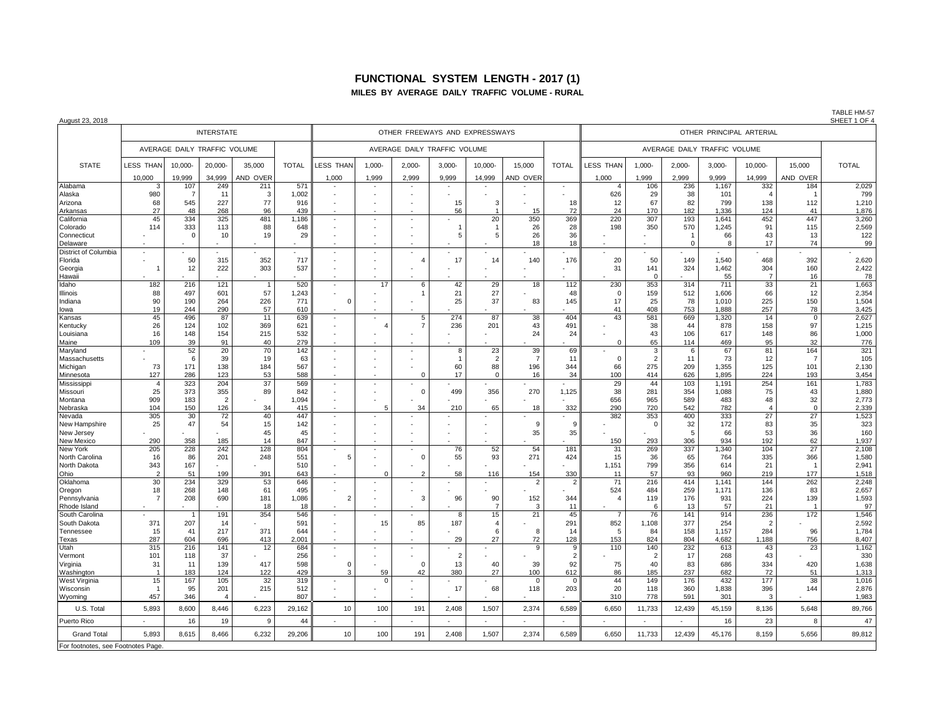# **FUNCTIONAL SYSTEM LENGTH - 2017 (1) MILES BY AVERAGE DAILY TRAFFIC VOLUME - RURAL**

| August 23, 2018                        |                      |                              |                       |                 |              |                |                |                                |                |                |                       |                |                          |                |              |                |                      |                   | SHEET 1 OF 4   |  |
|----------------------------------------|----------------------|------------------------------|-----------------------|-----------------|--------------|----------------|----------------|--------------------------------|----------------|----------------|-----------------------|----------------|--------------------------|----------------|--------------|----------------|----------------------|-------------------|----------------|--|
|                                        |                      |                              | <b>INTERSTATE</b>     |                 |              |                |                | OTHER FREEWAYS AND EXPRESSWAYS |                |                |                       |                | OTHER PRINCIPAL ARTERIAL |                |              |                |                      |                   |                |  |
|                                        |                      | AVERAGE DAILY TRAFFIC VOLUME |                       |                 |              |                |                | AVERAGE DAILY TRAFFIC VOLUME   |                |                |                       |                |                          |                |              |                |                      |                   |                |  |
| <b>STATE</b>                           | <b>LESS THAN</b>     | 10,000-                      | 20,000-               | 35,000          | <b>TOTAL</b> | LESS THAN      | 1.000-         | 2,000-                         | $3,000-$       | 10,000-        | 15,000                | <b>TOTAL</b>   | <b>LESS THAN</b>         | 1,000-         | $2,000 -$    | 3,000-         | 10,000-              | 15,000            | <b>TOTAL</b>   |  |
| Alabama                                | 10.000<br>3          | 19.999<br>107                | 34.999<br>249         | AND OVER<br>211 | 571          | 1,000          | 1,999          | 2,999                          | 9.999          | 14,999         | AND OVER              |                | 1,000<br>4               | 1.999<br>106   | 2.999<br>236 | 9.999<br>1,167 | 14.999<br>332        | AND OVER<br>184   | 2,029          |  |
| Alaska                                 | 980                  | -7                           | 11                    | 3               | 1,002        |                |                |                                |                |                |                       |                | 626                      | 29             | 38           | 101            |                      | -1                | 799            |  |
| Arizona                                | 68                   | 545                          | 227                   | 77              | 916          |                |                |                                | 15             | 3              |                       | 18             | 12                       | 67             | 82           | 799            | 138                  | 112               | 1,210          |  |
| Arkansas                               | 27                   | 48                           | 268                   | 96              | 439          |                |                |                                | 56             | -1             | 15                    | 72             | 24                       | 170            | 182          | 1,336          | 124                  | 41                | 1,876          |  |
| California                             | 45                   | 334                          | 325                   | 481             | 1,186        |                |                |                                |                | 20             | 350                   | 369            | 220                      | 307            | 193          | 1,641          | 452                  | 447               | 3,260          |  |
| Colorado                               | 114                  | 333                          | 113                   | 88              | 648          |                |                |                                |                | $\overline{1}$ | 26                    | 28             | 198                      | 350            | 570          | 1,245          | 91                   | 115               | 2,569          |  |
| Connecticut                            |                      | $\Omega$                     | 10                    | 19              | 29           |                |                |                                | 5              | 5              | 26                    | 36             |                          |                |              | 66             | 43                   | 13                | 122            |  |
| Delaware                               |                      |                              |                       |                 |              |                |                |                                |                |                | 18                    | 18             |                          | ÷              | $\mathbf 0$  | 8              | 17                   | 74                | 99             |  |
| <b>District of Columbia</b><br>Florida |                      | 50                           | 315                   | 352             | 717          |                |                | $\overline{4}$                 | 17             | 14             | 140                   | 176            | 20                       | 50             | 149          | 1,540          | 468                  | 392               | 2,620          |  |
| Georgia                                | 1                    | 12                           | 222                   | 303             | 537          |                |                |                                |                |                |                       |                | 31                       | 141            | 324          | 1.462          | 304                  | 160               | 2,422          |  |
| Hawaii                                 |                      |                              |                       |                 |              |                |                |                                |                |                |                       |                |                          | $\mathcal{C}$  |              | 55             | $\overline{7}$       | 16                | 78             |  |
| Idaho                                  | 182                  | 216                          | 121                   | $\overline{1}$  | 520          |                | 17             | 6                              | 42             | 29             | 18                    | 112            | 230                      | 353            | 314          | 711            | 33                   | 21                | 1,663          |  |
| Illinois                               | 88                   | 497                          | 601                   | 57              | 1,243        |                |                | $\mathbf{1}$                   | 21             | 27             |                       | 48             | $\Omega$                 | 159            | 512          | 1,606          | 66                   | 12                | 2,354          |  |
| Indiana                                | 90                   | 190                          | 264                   | 226             | 771          | $\Omega$       |                |                                | 25             | 37             | 83                    | 145            | 17                       | 25             | 78           | 1,010          | 225                  | 150               | 1,504          |  |
| lowa                                   | 19                   | 244                          | 290                   | 57              | 610          |                |                |                                |                |                |                       |                | 41                       | 408            | 753          | 1.888          | 257                  | 78                | 3,425          |  |
| Kansas                                 | 45                   | 496                          | 87                    | 11              | 639          | ٠              |                | 5<br>$\overline{7}$            | 274            | 87             | 38                    | 404            | 43                       | 581            | 669          | 1,320          | 14                   | $\mathbf{0}$      | 2,627          |  |
| Kentucky<br>Louisiana                  | 26<br>16             | 124<br>148                   | 102<br>154            | 369<br>215      | 621<br>532   |                | $\overline{4}$ |                                | 236            | 201            | 43<br>24              | 491<br>24      |                          | 38<br>43       | 44<br>106    | 878<br>617     | 158<br>148           | 97<br>86          | 1,215<br>1,000 |  |
| Maine                                  | 109                  | 39                           | 91                    | 40              | 279          |                |                |                                |                |                |                       |                | $\Omega$                 | 65             | 114          | 469            | 95                   | 32                | 776            |  |
| Maryland                               |                      | 52                           | 20                    | 70              | 142          |                |                |                                | 8              | 23             | 39                    | 69             |                          | 3              | 6            | 67             | 81                   | 164               | 321            |  |
| Massachusetts                          |                      | 6                            | 39                    | 19              | 63           |                |                |                                |                | $\overline{2}$ | $\overline{7}$        | 11             | $\Omega$                 | $\mathcal{P}$  | 11           | 73             | 12                   | $\overline{7}$    | 105            |  |
| Michigan                               | 73                   | 171                          | 138                   | 184             | 567          |                |                |                                | 60             | 88             | 196                   | 344            | 66                       | 275            | 209          | 1,355          | 125                  | 101               | 2,130          |  |
| Minnesota                              | 127                  | 286                          | 123                   | 53              | 588          |                |                | $\Omega$                       | 17             | $\Omega$       | 16                    | 34             | 100                      | 414            | 626          | 1.895          | 224                  | 193               | 3,454          |  |
| Mississippi                            | $\overline{4}$       | 323                          | 204                   | 37              | 569          |                |                |                                |                |                |                       |                | 29                       | 44             | 103          | 1,191          | 254                  | 161               | 1,783          |  |
| Missouri                               | 25                   | 373                          | 355                   | 89              | 842          |                |                | $\mathbf 0$                    | 499            | 356            | 270                   | 1,125          | 38                       | 281            | 354          | 1,088          | 75                   | 43                | 1,880          |  |
| Montana                                | 909<br>104           | 183<br>150                   | $\overline{2}$<br>126 | 34              | 1,094<br>415 |                | 5              | 34                             | 210            | 65             | 18                    | 332            | 656<br>290               | 965<br>720     | 589<br>542   | 483<br>782     | 48<br>$\overline{4}$ | 32<br>$\mathbf 0$ | 2,773<br>2,339 |  |
| Nebraska<br>Nevada                     | 305                  | 30                           | 72                    | 40              | 447          |                |                |                                |                |                |                       |                | 382                      | 353            | 400          | 333            | 27                   | 27                | 1,523          |  |
| New Hampshire                          | 25                   | 47                           | 54                    | 15              | 142          |                |                |                                |                |                | 9                     |                |                          | $\mathbf{0}$   | 32           | 172            | 83                   | 35                | 323            |  |
| New Jersey                             |                      |                              |                       | 45              | 45           |                |                |                                |                |                | 35                    | 35             |                          |                | 5            | 66             | 53                   | 36                | 160            |  |
| <b>New Mexico</b>                      | 290                  | 358                          | 185                   | 14              | 847          |                |                |                                |                |                |                       |                | 150                      | 293            | 306          | 934            | 192                  | 62                | 1,937          |  |
| New York                               | 205                  | 228                          | 242                   | 128             | 804          |                |                |                                | 76             | 52             | 54                    | 181            | 31                       | 269            | 337          | 1,340          | 104                  | 27                | 2,108          |  |
| North Carolina                         | 16                   | 86                           | 201                   | 248             | 551          | 5              |                | $\mathbf 0$                    | 55             | 93             | 271                   | 424            | 15                       | 36             | 65           | 764            | 335                  | 366               | 1,580          |  |
| North Dakota                           | 343                  | 167                          |                       |                 | 510          | ٠              |                | 2                              |                |                |                       |                | 1,151                    | 799            | 356          | 614            | 21                   |                   | 2,941          |  |
| Ohio<br>Oklahoma                       | $\overline{2}$<br>30 | 51<br>234                    | 199<br>329            | 391<br>53       | 643<br>646   | ä,             |                |                                | 58             | 116            | 154<br>$\overline{2}$ | 330            | 11<br>71                 | 57<br>216      | 93<br>414    | 960<br>1,141   | 219<br>144           | 177<br>262        | 1,518<br>2,248 |  |
| Oregon                                 | 18                   | 268                          | 148                   | 61              | 495          |                |                |                                |                |                |                       |                | 524                      | 484            | 259          | 1,171          | 136                  | 83                | 2,657          |  |
| Pennsylvania                           | $\overline{7}$       | 208                          | 690                   | 181             | 1,086        | $\overline{2}$ |                | 3                              | 96             | 90             | 152                   | 344            | $\overline{4}$           | 119            | 176          | 931            | 224                  | 139               | 1,593          |  |
| Rhode Island                           |                      |                              |                       | 18              | 18           |                |                |                                |                | $\overline{7}$ | 3                     | 11             |                          | 6              | 13           | 57             | 21                   |                   | 97             |  |
| South Carolina                         |                      |                              | 191                   | 354             | 546          |                |                |                                | 8              | 15             | 21                    | 45             | $\overline{7}$           | 76             | 141          | 914            | 236                  | 172               | 1,546          |  |
| South Dakota                           | 371                  | 207                          | 14                    |                 | 591          | ٠              | 15             | 85                             | 187            | $\overline{4}$ |                       | 291            | 852                      | 1,108          | 377          | 254            | 2                    |                   | 2,592          |  |
| Tennessee                              | 15                   | 41                           | 217                   | 371             | 644          |                |                |                                |                | 6              | 8                     | 14             | 5                        | 84             | 158          | 1,157          | 284                  | 96                | 1,784          |  |
| Texas<br>Utah                          | 287<br>315           | 604<br>216                   | 696<br>141            | 413<br>12       | 2,001<br>684 |                |                |                                | 29             | 27             | 72<br>9               | 128<br>9       | 153<br>110               | 824<br>140     | 804<br>232   | 4.682<br>613   | 1,188<br>43          | 756<br>23         | 8,407<br>1,162 |  |
| Vermont                                | 101                  | 118                          | 37                    |                 | 256          |                |                |                                | $\overline{2}$ |                |                       | $\overline{2}$ |                          | $\overline{2}$ | 17           | 268            | 43                   |                   | 330            |  |
| Virginia                               | 31                   | 11                           | 139                   | 417             | 598          | $\Omega$       |                | $\Omega$                       | 13             | 40             | 39                    | 92             | 75                       | 40             | 83           | 686            | 334                  | 420               | 1,638          |  |
| Washington                             | $\overline{1}$       | 183                          | 124                   | 122             | 429          | 3              | 59             | 42                             | 380            | 27             | 100                   | 612            | 86                       | 185            | 237          | 682            | 72                   | 51                | 1,313          |  |
| West Virginia                          | 15                   | 167                          | 105                   | 32              | 319          |                | $\Omega$       |                                |                |                | $\Omega$              | $\Omega$       | 44                       | 149            | 176          | 432            | 177                  | 38                | 1,016          |  |
| Wisconsir                              | $\overline{1}$       | 95                           | 201                   | 215             | 512          |                |                |                                | 17             | 68             | 118                   | 203            | 20                       | 118            | 360          | 1,838          | 396                  | 144               | 2,876          |  |
| Wyoming                                | 457                  | 346                          | $\boldsymbol{\Delta}$ |                 | 807          |                |                |                                |                |                |                       |                | 310                      | 778            | 591          | 301            | $\mathcal{R}$        |                   | 1,983          |  |
| U.S. Total                             | 5,893                | 8,600                        | 8.446                 | 6,223           | 29,162       | 10             | 100            | 191                            | 2,408          | 1,507          | 2,374                 | 6,589          | 6,650                    | 11,733         | 12,439       | 45,159         | 8,136                | 5,648             | 89,766         |  |
| Puerto Rico                            |                      | 16                           | 19                    | 9               | 44           |                |                |                                |                |                |                       |                |                          |                |              | 16             | 23                   | 8                 | 47             |  |
| <b>Grand Total</b>                     | 5,893                | 8,615                        | 8.466                 | 6,232           | 29,206       | 10             | 100            | 191                            | 2,408          | 1,507          | 2,374                 | 6.589          | 6,650                    | 11,733         | 12,439       | 45,176         | 8.159                | 5.656             | 89,812         |  |
| For footnotes, see Footnotes Page.     |                      |                              |                       |                 |              |                |                |                                |                |                |                       |                |                          |                |              |                |                      |                   |                |  |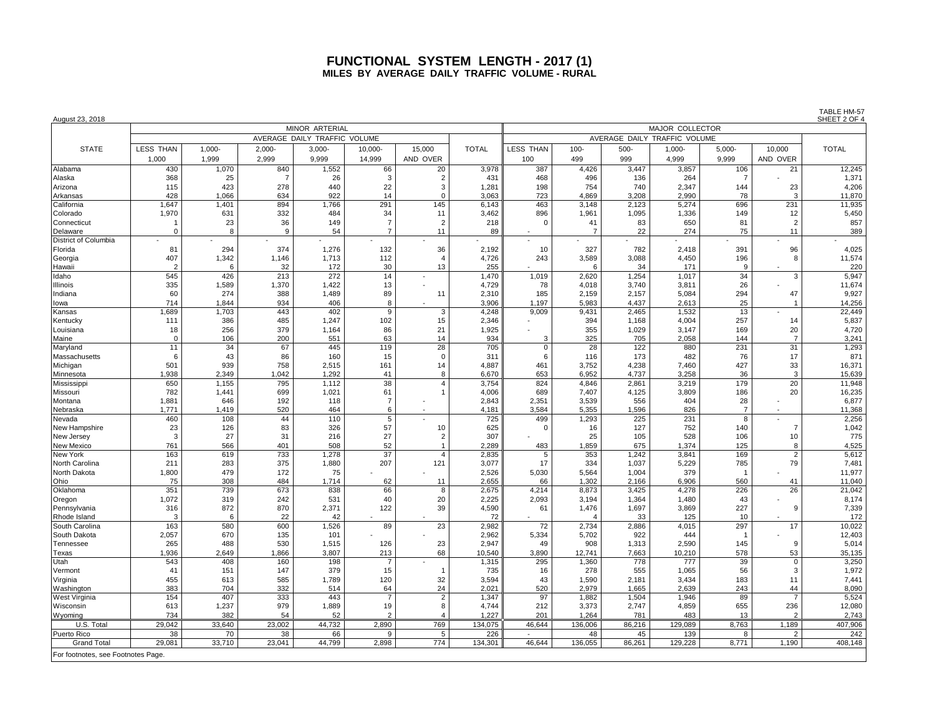### **FUNCTIONAL SYSTEM LENGTH - 2017 (1) MILES BY AVERAGE DAILY TRAFFIC VOLUME - RURAL**

| August 23, 2018                   |                  |              |            |                              |                       |                       |                 |                  |                          |                |                |                |                         | SHEET 2 OF 4    |  |  |
|-----------------------------------|------------------|--------------|------------|------------------------------|-----------------------|-----------------------|-----------------|------------------|--------------------------|----------------|----------------|----------------|-------------------------|-----------------|--|--|
|                                   |                  |              |            | MINOR ARTERIAL               |                       |                       | MAJOR COLLECTOR |                  |                          |                |                |                |                         |                 |  |  |
|                                   |                  |              |            | AVERAGE DAILY TRAFFIC VOLUME |                       |                       |                 |                  |                          |                |                |                |                         |                 |  |  |
| <b>STATE</b>                      | <b>LESS THAN</b> | $1,000 -$    | $2,000 -$  | $3,000 -$                    | 10,000-               | 15,000                | <b>TOTAL</b>    | <b>LESS THAN</b> | $100 -$                  | 500-           | 1,000-         | $5,000-$       | 10,000                  | <b>TOTAL</b>    |  |  |
|                                   | 1,000            | 1,999        | 2,999      | 9,999                        | 14,999                | AND OVER              |                 | 100              | 499                      | 999            | 4,999          | 9,999          | AND OVER                |                 |  |  |
| Alabama                           | 430              | 1,070        | 840        | 1,552                        | 66                    | 20                    | 3,978           | 387              | 4,426                    | 3,447          | 3,857          | 106            | 21                      | 12,245          |  |  |
| Alaska                            | 368              | 25           | -7         | 26                           | $\overline{3}$        | $\overline{2}$        | 431             | 468              | 496                      | 136            | 264            | $\overline{7}$ |                         | 1,371           |  |  |
| Arizona                           | 115              | 423          | 278        | 440                          | 22                    | $\mathbf{3}$          | 1,281           | 198              | 754                      | 740            | 2,347          | 144            | 23                      | 4,206           |  |  |
| Arkansas                          | 428              | 1,066        | 634        | 922                          | 14                    | $\Omega$              | 3,063           | 723              | 4,869                    | 3,208          | 2,990          | 78             | 3                       | 11,870          |  |  |
| California                        | 1,647            | 1,401        | 894        | 1,766                        | 291                   | 145                   | 6,143           | 463              | 3,148                    | 2,123          | 5,274          | 696            | 231                     | 11,935          |  |  |
| Colorado                          | 1,970            | 631          | 332        | 484                          | 34                    | 11                    | 3,462           | 896              | 1,961                    | 1,095          | 1,336          | 149            | 12                      | 5,450           |  |  |
| Connecticut                       | -1               | 23           | 36         | 149                          | $\overline{7}$        | $\overline{2}$        | 218             | $\mathbf 0$      | 41                       | 83             | 650            | 81             | $\overline{2}$          | 857             |  |  |
| Delaware                          | $\mathbf 0$      | 8            | -9         | 54                           | $\overline{7}$        | 11                    | 89              |                  | $\overline{7}$           | 22             | 274            | 75             | 11                      | 389             |  |  |
| District of Columbia              |                  |              |            |                              |                       |                       |                 | ÷,               | $\overline{\phantom{a}}$ |                |                |                |                         |                 |  |  |
| Florida                           | 81               | 294          | 374        | 1,276                        | 132                   | 36                    | 2,192           | 10               | 327                      | 782            | 2,418          | 391            | 96                      | 4,025           |  |  |
| Georgia                           | 407              | 1,342        | 1,146      | 1,713                        | 112                   | $\overline{4}$        | 4,726           | 243              | 3,589                    | 3,088          | 4,450          | 196            | 8                       | 11,574          |  |  |
| Hawaii                            | $\overline{2}$   | 6            | 32         | 172                          | 30                    | 13                    | 255             |                  | 6                        | 34             | 171            | 9              |                         | 220             |  |  |
| Idaho                             | 545              | 426          | 213        | 272                          | 14                    |                       | 1,470           | 1,019            | 2,620                    | 1,254          | 1,017          | 34             | 3                       | 5,947           |  |  |
| Illinois                          | 335              | 1,589        | 1,370      | 1,422                        | 13                    |                       | 4,729           | 78               | 4,018                    | 3,740          | 3,811          | 26             | 47                      | 11,674          |  |  |
| Indiana                           | 60<br>714        | 274<br>1,844 | 388<br>934 | 1,489<br>406                 | 89<br>8               | 11                    | 2,310<br>3,906  | 185<br>1,197     | 2,159<br>5,983           | 2,157<br>4,437 | 5,084<br>2,613 | 294<br>25      | $\mathbf{1}$            | 9,927<br>14,256 |  |  |
| lowa<br>Kansas                    | 1,689            | 1,703        | 443        | 402                          | $\overline{9}$        | 3                     | 4,248           | 9.009            | 9,431                    | 2,465          | 1,532          | 13             |                         | 22,449          |  |  |
| Kentucky                          | 111              | 386          | 485        | 1,247                        | 102                   | 15                    | 2,346           |                  | 394                      | 1,168          | 4,004          | 257            | 14                      | 5,837           |  |  |
| Louisiana                         | 18               | 256          | 379        | 1,164                        | 86                    | 21                    | 1,925           |                  | 355                      | 1,029          | 3,147          | 169            | 20                      | 4,720           |  |  |
| Maine                             | $\mathbf 0$      | 106          | 200        | 551                          | 63                    | 14                    | 934             | 3                | 325                      | 705            | 2,058          | 144            | $\overline{7}$          | 3,241           |  |  |
| Maryland                          | 11               | 34           | 67         | 445                          | 119                   | 28                    | 705             | $\mathbf 0$      | 28                       | 122            | 880            | 231            | 31                      | 1,293           |  |  |
| Massachusetts                     | 6                | 43           | 86         | 160                          | 15                    | $\mathbf 0$           | 311             | 6                | 116                      | 173            | 482            | 76             | 17                      | 871             |  |  |
| Michigan                          | 501              | 939          | 758        | 2,515                        | 161                   | 14                    | 4,887           | 461              | 3,752                    | 4,238          | 7,460          | 427            | 33                      | 16,371          |  |  |
| Minnesota                         | 1.938            | 2.349        | 1.042      | 1,292                        | 41                    | 8                     | 6,670           | 653              | 6.952                    | 4,737          | 3.258          | 36             | 3                       | 15,639          |  |  |
| Mississippi                       | 650              | 1,155        | 795        | 1,112                        | 38                    | $\overline{4}$        | 3,754           | 824              | 4,846                    | 2,861          | 3,219          | 179            | 20                      | 11,948          |  |  |
| Missouri                          | 782              | 1,441        | 699        | 1,021                        | 61                    | $\overline{1}$        | 4,006           | 689              | 7,407                    | 4,125          | 3,809          | 186            | 20                      | 16,235          |  |  |
| Montana                           | 1,881            | 646          | 192        | 118                          | $\overline{7}$        |                       | 2,843           | 2,351            | 3,539                    | 556            | 404            | 28             |                         | 6,877           |  |  |
| Nebraska                          | 1.771            | 1,419        | 520        | 464                          | 6                     |                       | 4,181           | 3,584            | 5,355                    | 1,596          | 826            | $\overline{7}$ |                         | 11,368          |  |  |
| Nevada                            | 460              | 108          | 44         | 110                          | $\,$ 5                |                       | 725             | 499              | 1,293                    | 225            | 231            | 8              |                         | 2,256           |  |  |
| New Hampshire                     | 23               | 126          | 83         | 326                          | 57                    | 10                    | 625             | $\mathbf 0$      | 16                       | 127            | 752            | 140            | $\overline{7}$          | 1,042           |  |  |
| New Jersey                        | 3                | 27           | 31         | 216                          | 27                    | $\overline{2}$        | 307             |                  | 25                       | 105            | 528            | 106            | 10                      | 775             |  |  |
| New Mexico                        | 761              | 566          | 401        | 508                          | 52<br>$\overline{37}$ | $\overline{4}$        | 2,289           | 483              | 1,859                    | 675            | 1,374          | 125            | 8                       | 4,525           |  |  |
| <b>New York</b>                   | 163<br>211       | 619          | 733        | 1,278                        | 207                   |                       | 2,835           | 5                | 353<br>334               | 1,242          | 3,841          | 169            | $\overline{2}$          | 5,612           |  |  |
| North Carolina<br>North Dakota    | 1,800            | 283<br>479   | 375<br>172 | 1,880<br>75                  |                       | 121                   | 3,077<br>2,526  | 17<br>5.030      | 5.564                    | 1,037<br>1.004 | 5,229<br>379   | 785            | 79                      | 7,481<br>11,977 |  |  |
| Ohio                              | 75               | 308          | 484        | 1,714                        | 62                    | 11                    | 2,655           | 66               | 1,302                    | 2,166          | 6,906          | 560            | 41                      | 11,040          |  |  |
| Oklahoma                          | 351              | 739          | 673        | 838                          | 66                    | 8                     | 2,675           | 4,214            | 8,873                    | 3,425          | 4,278          | 226            | 26                      | 21,042          |  |  |
| Oregon                            | 1,072            | 319          | 242        | 531                          | 40                    | 20                    | 2,225           | 2,093            | 3,194                    | 1,364          | 1,480          | 43             |                         | 8,174           |  |  |
| Pennsylvania                      | 316              | 872          | 870        | 2,371                        | 122                   | 39                    | 4,590           | 61               | 1,476                    | 1,697          | 3,869          | 227            | 9                       | 7,339           |  |  |
| Rhode Island                      | 3                | 6            | 22         | 42                           |                       |                       | 72              |                  | 4                        | 33             | 125            | 10             |                         | 172             |  |  |
| South Carolina                    | 163              | 580          | 600        | 1,526                        | 89                    | 23                    | 2,982           | 72               | 2,734                    | 2,886          | 4,015          | 297            | 17                      | 10,022          |  |  |
| South Dakota                      | 2,057            | 670          | 135        | 101                          |                       |                       | 2,962           | 5,334            | 5,702                    | 922            | 444            |                |                         | 12,403          |  |  |
| Tennessee                         | 265              | 488          | 530        | 1,515                        | 126                   | 23                    | 2,947           | 49               | 908                      | 1,313          | 2,590          | 145            | 9                       | 5,014           |  |  |
| Texas                             | 1,936            | 2,649        | 1,866      | 3,807                        | 213                   | 68                    | 10,540          | 3,890            | 12,741                   | 7,663          | 10,210         | 578            | 53                      | 35,135          |  |  |
| Utah                              | 543              | 408          | 160        | 198                          | 7                     |                       | 1,315           | 295              | 1,360                    | 778            | 777            | 39             | 0                       | 3,250           |  |  |
| Vermont                           | 41               | 151          | 147        | 379                          | 15                    | -1                    | 735             | 16               | 278                      | 555            | 1,065          | 56             | 3                       | 1,972           |  |  |
| Virginia                          | 455              | 613          | 585        | 1,789                        | 120                   | 32                    | 3,594           | 43               | 1,590                    | 2,181          | 3,434          | 183            | 11                      | 7,441           |  |  |
| Washington                        | 383              | 704          | 332        | 514                          | 64                    | 24                    | 2.021           | 520              | 2,979                    | 1,665          | 2.639          | 243            | 44                      | 8,090           |  |  |
| West Virginia                     | 154              | 407          | 333        | 443                          | $\overline{7}$        | $\overline{2}$        | 1,347           | 97               | 1,882                    | 1,504          | 1,946          | 89             | $\overline{\mathbf{z}}$ | 5,524           |  |  |
| Wisconsin                         | 613              | 1,237        | 979        | 1,889                        | 19                    | 8                     | 4,744           | 212              | 3,373                    | 2,747          | 4,859          | 655            | 236                     | 12,080          |  |  |
| Wyoming                           | 734              | 382          | 54         | 52                           | $\mathcal{P}$         | $\boldsymbol{\Delta}$ | 1,227           | 201              | 1,264                    | 781            | 483            | 13             | $\overline{2}$          | 2,743           |  |  |
| U.S. Total                        | 29,042           | 33,640       | 23,002     | 44,732                       | 2,890                 | 769                   | 134,075         | 46,644           | 136,006                  | 86,216         | 129,089        | 8,763          | 1,189                   | 407,906         |  |  |
| Puerto Rico                       | 38               | 70           | 38         | 66                           | 9                     | 5                     | 226             |                  | 48                       | 45             | 139            | 8              | $\overline{2}$          | 242             |  |  |
| <b>Grand Total</b>                | 29,081           | 33,710       | 23,041     | 44,799                       | 2,898                 | 774                   | 134,301         | 46,644           | 136,055                  | 86,261         | 129,228        | 8,771          | 1,190                   | 408,148         |  |  |
| For footnotes, see Footnotes Page |                  |              |            |                              |                       |                       |                 |                  |                          |                |                |                |                         |                 |  |  |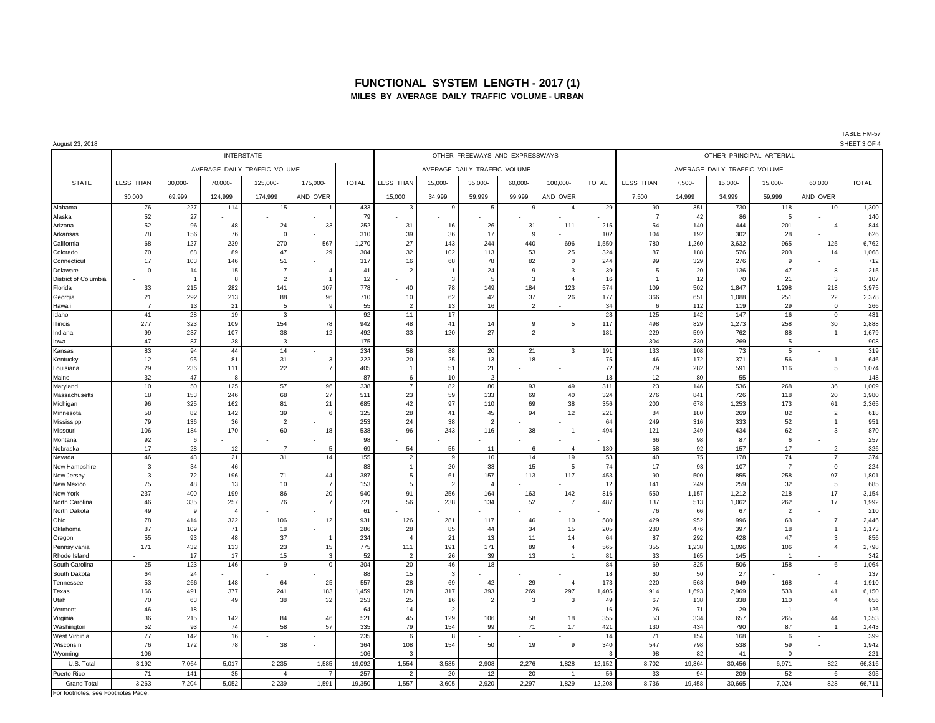## **FUNCTIONAL SYSTEM LENGTH - 2017 (1) MILES BY AVERAGE DAILY TRAFFIC VOLUME - URBAN**

August 23, 2018 SHEET 3 OF 4

|                                    |                  |            |                | <b>INTERSTATE</b>            |                      |              |                              |                       | OTHER FREEWAYS AND EXPRESSWAYS |                |                       |              | OTHER PRINCIPAL ARTERIAL     |              |                |                       |                          |                |  |
|------------------------------------|------------------|------------|----------------|------------------------------|----------------------|--------------|------------------------------|-----------------------|--------------------------------|----------------|-----------------------|--------------|------------------------------|--------------|----------------|-----------------------|--------------------------|----------------|--|
|                                    |                  |            |                | AVERAGE DAILY TRAFFIC VOLUME |                      |              | AVERAGE DAILY TRAFFIC VOLUME |                       |                                |                |                       |              | AVERAGE DAILY TRAFFIC VOLUME |              |                |                       |                          |                |  |
| <b>STATE</b>                       | <b>LESS THAN</b> | 30,000-    | 70,000-        | 125,000-                     | 175,000-             | <b>TOTAL</b> | LESS THAN                    | 15,000-               | 35,000-                        | 60,000-        | 100,000-              | <b>TOTAL</b> | <b>LESS THAN</b>             | 7,500-       | 15,000-        | 35,000-               | 60,000                   | <b>TOTAL</b>   |  |
|                                    | 30,000           | 69,999     | 124,999        | 174,999                      | AND OVER             |              | 15,000                       | 34,999                | 59.999                         | 99,999         | AND OVER              |              | 7,500                        | 14.999       | 34,999         | 59,999                | AND OVER                 |                |  |
| Alabama                            | 76               | 227        | 114            | 15                           |                      | 433          | 3                            | 9                     | $\overline{5}$                 | 9              | $\overline{4}$        | 29           | 90                           | 351          | 730            | 118                   | 10                       | 1,300          |  |
| Alaska                             | 52               | 27         |                |                              |                      | 79           |                              |                       |                                |                |                       |              | $\overline{7}$               | 42           | 86             | 5                     |                          | 140            |  |
| Arizona<br>Arkansas                | 52<br>78         | 96<br>156  | 48<br>76       | 24<br>$\overline{0}$         | 33                   | 252<br>310   | 31<br>39                     | 16<br>36              | 26<br>17                       | 31<br>9        | 111                   | 215<br>102   | 54<br>104                    | 140<br>192   | 444<br>302     | 201<br>28             | $\Delta$                 | 844<br>626     |  |
| California                         | 68               | 127        | 239            | 270                          | 567                  | 1,270        | 27                           | 143                   | 244                            | 440            | 696                   | 1,550        | 780                          | 1,260        | 3,632          | 965                   | 125                      | 6,762          |  |
| Colorado                           | 70               | 68         | 89             | 47                           | 29                   | 304          | 32                           | 102                   | 113                            | 53             | 25                    | 324          | 87                           | 188          | 576            | 203                   | 14                       | 1,068          |  |
| Connecticut                        | 17               | 103        | 146            | 51                           |                      | 317          | 16                           | 68                    | 78                             | 82             | $\mathsf 0$           | 244          | 99                           | 329          | 276            | 9                     |                          | 712            |  |
| Delaware                           | $\Omega$         | 14         | 15             | $\overline{7}$               |                      | 41           | $\overline{2}$               | $\overline{1}$        | 24                             | 9              | 3                     | 39           | 5                            | 20           | 136            | 47                    | -8                       | 215            |  |
| District of Columbia               |                  |            | 8              | $\overline{2}$<br>141        |                      | 12<br>778    |                              | $\mathbf{3}$          | 5<br>149                       | 3              | $\overline{4}$<br>123 | 16<br>574    |                              | 12           | 70             | 21                    | $\overline{3}$           | 107            |  |
| Florida<br>Georgia                 | 33<br>21         | 215<br>292 | 282<br>213     | 88                           | 107<br>96            | 710          | 40<br>10                     | 78<br>62              | 42                             | 184<br>37      | 26                    | 177          | 109<br>366                   | 502<br>651   | 1,847<br>1,088 | 1,298<br>251          | 218<br>22                | 3,975<br>2,378 |  |
| Hawaii                             | $\overline{7}$   | 13         | 21             | 5                            | 9                    | 55           | $\overline{2}$               | 13                    | 16                             | $\overline{2}$ |                       | 34           | - 6                          | 112          | 119            | 29                    | $\Omega$                 | 266            |  |
| Idaho                              | 41               | 28         | 19             | $\mathbf{3}$                 |                      | 92           | 11                           | 17                    |                                |                | ÷                     | 28           | 125                          | 142          | 147            | 16                    | $\Omega$                 | 431            |  |
| Illinois                           | 277              | 323        | 109            | 154                          | 78                   | 942          | 48                           | 41                    | 14                             | 9              | 5                     | 117          | 498                          | 829          | 1,273          | 258                   | 30                       | 2,888          |  |
| Indiana                            | 99               | 237        | 107            | 38                           | 12                   | 492          | 33                           | 120                   | 27                             | $\overline{2}$ |                       | 181          | 229                          | 599          | 762            | 88                    |                          | 1,679          |  |
| lowa                               | 47               | 87         | 38             | $\overline{3}$               |                      | 175          |                              |                       |                                |                |                       |              | 304                          | 330          | 269            | 5                     |                          | 908            |  |
| Kansas                             | 83<br>12         | 94<br>95   | 44<br>81       | 14<br>31                     | -3                   | 234<br>222   | 58<br>20                     | 88<br>25              | 20<br>13                       | 21<br>18       | 3                     | 191<br>75    | 133<br>46                    | 108<br>172   | 73<br>371      | $\overline{5}$<br>56  | $\overline{\phantom{a}}$ | 319<br>646     |  |
| Kentucky<br>Louisiana              | 29               | 236        | 111            | 22                           | 7                    | 405          | $\overline{1}$               | 51                    | 21                             |                |                       | 72           | 79                           | 282          | 591            | 116                   | 5                        | 1,074          |  |
| Maine                              | 32               | 47         | -8             |                              |                      | 87           | 6                            | 10                    | $\overline{2}$                 |                |                       | 18           | 12                           | 80           | 55             |                       |                          | 148            |  |
| Maryland                           | 10               | 50         | 125            | 57                           | 96                   | 338          | $\overline{7}$               | 82                    | 80                             | 93             | 49                    | 311          | 23                           | 146          | 536            | 268                   | 36                       | 1,009          |  |
| Massachusetts                      | 18               | 153        | 246            | 68                           | 27                   | 511          | 23                           | 59                    | 133                            | 69             | 40                    | 324          | 276                          | 841          | 726            | 118                   | 20                       | 1,980          |  |
| Michigan                           | 96               | 325        | 162            | 81                           | 21                   | 685          | 42                           | 97                    | 110                            | 69             | 38                    | 356          | 200                          | 678          | 1,253          | 173                   | 61                       | 2,365          |  |
| Minnesota                          | 58               | 82         | 142            | 39                           | -6                   | 325          | 28                           | 41                    | 45                             | 94             | 12                    | 221          | 84                           | 180          | 269            | 82                    | $\overline{2}$           | 618            |  |
| Mississippi<br>Missouri            | 79<br>106        | 136<br>184 | 36<br>170      | $\overline{2}$<br>60         | 18                   | 253<br>538   | 24<br>96                     | 38<br>243             | $\overline{2}$<br>116          | 38             | $\overline{1}$        | 64<br>494    | 249<br>121                   | 316<br>249   | 333<br>434     | 52<br>62              | 3                        | 951<br>870     |  |
| Montana                            | 92               | 6          |                |                              |                      | 98           |                              |                       |                                |                |                       |              | 66                           | 98           | 87             | 6                     |                          | 257            |  |
| Nebraska                           | 17               | 28         | 12             | $\overline{7}$               | 5                    | 69           | 54                           | 55                    | 11                             | 6              | $\mathbf{A}$          | 130          | 58                           | 92           | 157            | 17                    | $\overline{2}$           | 326            |  |
| Nevada                             | 46               | 43         | 21             | 31                           | 14                   | 155          | $\overline{2}$               | 9                     | 10                             | 14             | 19                    | 53           | 40                           | 75           | 178            | 74                    | $\overline{7}$           | 374            |  |
| New Hampshire                      | 3                | 34         | 46             |                              |                      | 83           | $\overline{1}$               | 20                    | 33                             | 15             | 5                     | 74           | 17                           | 93           | 107            | $\overline{7}$        | $\Omega$                 | 224            |  |
| New Jersey                         | 3                | 72         | 196            | 71                           | 44                   | 387          | 5                            | 61                    | 157                            | 113            | 117                   | 453          | 90                           | 500          | 855            | 258                   | 97                       | 1,801          |  |
| New Mexico                         | 75               | 48         | 13             | 10<br>86                     | $\overline{7}$<br>20 | 153          | $\overline{5}$<br>91         | $\overline{2}$<br>256 | 164                            |                | 142                   | 12<br>816    | 141<br>550                   | 249          | 259            | 32<br>218             | 5<br>17                  | 685<br>3,154   |  |
| New York<br>North Carolina         | 237<br>46        | 400<br>335 | 199<br>257     | 76                           |                      | 940<br>721   | 56                           | 238                   | 134                            | 163<br>52      | $\overline{7}$        | 487          | 137                          | 1,157<br>513 | 1,212<br>1,062 | 262                   | 17                       | 1,992          |  |
| North Dakota                       | 49               | 9          | $\overline{ }$ |                              |                      | 61           |                              |                       |                                |                |                       |              | 76                           | 66           | 67             | $\overline{2}$        |                          | 210            |  |
| Ohio                               | 78               | 414        | 322            | 106                          | 12                   | 931          | 126                          | 281                   | 117                            | 46             | 10                    | 580          | 429                          | 952          | 996            | 63                    | $\overline{7}$           | 2,446          |  |
| Oklahoma                           | 87               | 109        | 71             | 18                           |                      | 286          | 28                           | 85                    | 44                             | 34             | 15                    | 205          | 280                          | 476          | 397            | 18                    |                          | 1,173          |  |
| Oregon                             | 55               | 93         | 48             | 37                           |                      | 234          | $\overline{4}$               | 21                    | 13                             | 11             | 14                    | 64           | 87                           | 292          | 428            | 47                    | $\mathbf{3}$             | 856            |  |
| Pennsylvania                       | 171              | 432        | 133            | 23                           | 15                   | 775          | 111                          | 191                   | 171                            | 89             | $\overline{4}$        | 565          | 355                          | 1,238        | 1,096          | 106                   | $\overline{a}$           | 2,798          |  |
| Rhode Island<br>South Carolina     | 25               | 17<br>123  | 17<br>146      | 15<br>9                      | -3<br>$\Omega$       | 52<br>304    | $\overline{2}$<br>20         | 26<br>46              | 39<br>18                       | 13             | $\overline{1}$        | 81<br>84     | 33<br>69                     | 165<br>325   | 145<br>506     | $\overline{1}$<br>158 | 6                        | 342<br>1,064   |  |
| South Dakota                       | 64               | 24         |                |                              |                      | 88           | 15                           | $\mathbf{3}$          |                                |                |                       | 18           | 60                           | 50           | 27             |                       |                          | 137            |  |
| Tennessee                          | 53               | 266        | 148            | 64                           | 25                   | 557          | 28                           | 69                    | 42                             | 29             | $\overline{4}$        | 173          | 220                          | 568          | 949            | 168                   | $\overline{4}$           | 1,910          |  |
| Texas                              | 166              | 491        | 377            | 241                          | 183                  | 1,459        | 128                          | 317                   | 393                            | 269            | 297                   | 1,405        | 914                          | 1,693        | 2,969          | 533                   | 41                       | 6,150          |  |
| Utah                               | 70               | 63         | 49             | 38                           | 32                   | 253          | 25                           | 16                    | $\overline{2}$                 | 3              | 3                     | 49           | 67                           | 138          | 338            | 110                   | $\overline{4}$           | 656            |  |
| Vermont                            | 46               | 18         |                |                              |                      | 64           | 14                           | 2                     |                                |                |                       | 16           | 26                           | 71           | 29             | $\overline{1}$        |                          | 126            |  |
| Virginia                           | 36               | 215        | 142            | 84                           | 46                   | 521          | 45                           | 129                   | 106                            | 58             | 18                    | 355          | 53                           | 334          | 657            | 265                   | 44                       | 1,353          |  |
| Washington<br>West Virginia        | 52<br>77         | 93<br>142  | 74<br>16       | 58                           | 57                   | 335<br>235   | 79<br>6                      | 154<br>8              | 99<br>ä,                       | 71             | 17<br>÷               | 421<br>14    | 130<br>71                    | 434<br>154   | 790<br>168     | 87<br>6               | $\sim$                   | 1,443<br>399   |  |
| Wisconsin                          | 76               | 172        | 78             | 38                           |                      | 364          | 108                          | 154                   | 50                             | 19             | $\,9$                 | 340          | 547                          | 798          | 538            | 59                    | ÷,                       | 1,942          |  |
| Wyoming                            | 106              |            |                |                              |                      | 106          | -3                           |                       |                                |                |                       |              | 98                           | 82           | 41             | $\Omega$              |                          | 221            |  |
| U.S. Total                         | 3.192            | 7.064      | 5,017          | 2.235                        | 1.585                | 19.092       | 1,554                        | 3.585                 | 2.908                          | 2.276          | 1.828                 | 12.152       | 8.702                        | 19.364       | 30.456         | 6.971                 | 822                      | 66.316         |  |
| Puerto Rico                        | 71               | 141        | 35             |                              |                      | 257          | $\overline{2}$               | 20                    | 12                             | 20             |                       | 56           | 33                           | 94           | 209            | 52                    | 6                        | 395            |  |
| <b>Grand Total</b>                 | 3,263            | 7,204      | 5,052          | 2,239                        | 1,591                | 19,350       | 1,557                        | 3,605                 | 2,920                          | 2,297          | 1,829                 | 12,208       | 8,736                        | 19,458       | 30,665         | 7,024                 | 828                      | 66,711         |  |
| For footnotes, see Footnotes Page. |                  |            |                |                              |                      |              |                              |                       |                                |                |                       |              |                              |              |                |                       |                          |                |  |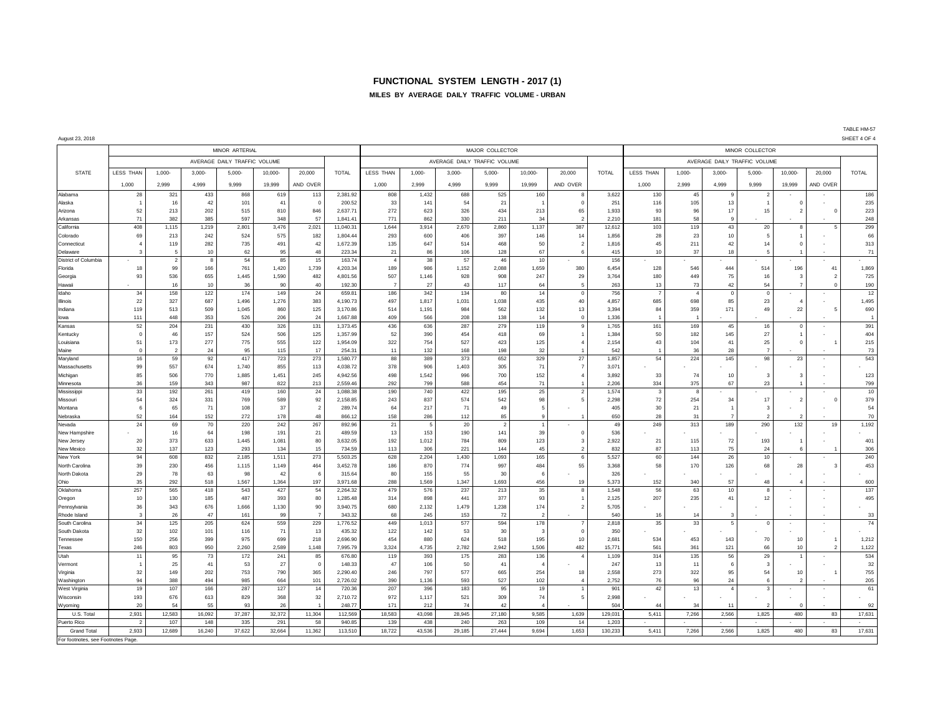### **FUNCTIONAL SYSTEM LENGTH - 2017 (1) MILES BY AVERAGE DAILY TRAFFIC VOLUME - URBAN**

August 23, 2018 SHEET 4 OF 4

MINOR ARTERIAL MINOR COLLECTOR NAJOR COLLECTOR NAJOR COLLECTOR NAJOR OLLECTOR NAJOR OLLECTOR NAJOR ON MAJOR COLLECTOR AVERAGE DAILY TRAFFIC VOLUME **AVERAGE DAILY AVERAGE DAILY TRAFFIC VOLUME** AVERAGE DAILY TRAFFIC VOLUME AVERAGE DAILY TRAFFIC VOLUME STATE |LESS THAN | 1,000- | 3,000- | 5,000- | 10,000- | 20,000 | TOTAL ||LESS THAN | 1,000- | 20,000 | 1000- | 20,000 | TOTAL || 20,000 | TOTAL || LESS THAN | 1,000- | 5,000- | 5,000- | 20,000 | TOTAL || 20,000 | 20,000 | 1,000 | 2,999 | 4,999 | 9,999 |ANDOVER | | 1,000 | 2,999 | 4,999 | 9,999 |ANDOVER | | | 1,000 | 2,999 | 4,999 | 9,999 | 19,999 |ANDOVER Alabama | 28| 321| 433| 868| 619| 113| 2,381.92|| 808| 1,432| 688| 525| 160| 8| 3,622|| 130| 45| 9| 2| -| -| 186 Alaska | 1 16 42 101 41 0 200.52 33 141 54 21 1 0 251 116 105 13 1 0 - 235 Arizona | 52 |213 |202 | 515 |810 | 846 |2,637.71 || 272 | 623 | 326 | 434 | 213 | 65 | 1,933 || 93 | 96 | 17 | 15 | 2 | 0 | 223 Arkansas | 71 | 382 | 385 | 597 | 348 | 57 | 1,841.41 || 771 | 862 | 330 | 211 | 34 | 2 | 2,210 || 181 | 58 | 9 - | - | - | 248 California | 408 1,115 1,219 2,801 3,476 2,021 11,040.31 1,644 3,914 2,670 2,860 1,137 387 12,612 103 119 43 20 8 5 299 Colorado | 69 |213 |242 |524 |575 |182 1,804.44 |293 |600 |406 |397 |146 |14 1,856 |28 |23 |10 5 |1 - |66 Connecticut | 4| 119| 282| 735| 491| 42|1,672.39|| 135| 647| 514| 468| 50| 2| 1,816|| 45| 211| 42| 14| 0| | 313 Delaware | 3 | 5 | 10 | 62 | 95 | 48 | 223.34 || 21 | 86 | 106 | 128 | 67 | 6 | 415 || 10 | 37 | 18 | 5 | 1 | - | 71 District of Columbia | - | 2| 8| 54| 85| 15| 163.74|| 4| 38| 57| 46| 10| - | 156|| - | - | - | - | - | - | -Florida | 18 99 166 761 1,420 1,739 4,203.34 189 986 1,152 2,088 1,659 380 6,454 128 546 444 514 196 41 1,869 Georgia | 93 | 536 | 655 | 1,445 | 1,590 | 482 | 4,801.56 || 507 | 1,146 | 928 | 908 | 247 | 29 | 3,764 || 180 | 449 | 75 | 16 | 3 | 2 | 725 Hawaii | | | 16| 10| 36| 90| 40| 192.30|| 7| 27| 43| 117| 64| 5| 263|| 13| 73| 42| 54| 7| 0| 190 Idaho | 34 158 122 174 149 24 659.81 186 342 134 80 14 0 756 7 4 0 0 0 - - 12 Illinois | 22| 327| 687| 1,496| 1,276| 383| 4,190.73 || 497| 1,817| 1,031| 1,038 | 435| 40| 4,857 || 685| 698| 85| 23| 4| | 1,495 Indiana | 119 513 509 1,045 860 125 3,170.86 514 1,191 984 562 132 13 3,394 84 359 171 49 22 5 690 Iowa | 111 | 448 | 353 | 526 | 206 | 24 | 1,667.88 || 409 | 566 | 208 | 138 | 14 | 0 | 1,336 || 1 | 1 | - | - | - | - | - | 1 Kansas | 52 204 231 430 326 131 1,373.45 436 636 287 279 119 9 1,765 161 169 45 16 0 - 391 Kentucky | 0 46| 157| 524| 506| 125| 1,357.99|| 52| 390| 454| 418| 69| 1| 1,384|| 50| 182| 145| 27| 1| - | 404 Louisiana | 51 | 173 | 277 | 775 | 555 | 122 | 1,954.09 || 322 | 754 | 527 | 423 | 125 | 4 | 2,154 || 43 | 104 | 41 | 25 | 0 | 1 | 215 Maine | 0 2| 24| 95| 115| 17| 254.31|| 11| 132| 168| 198| 32| 1| 542|| 1| 36| 28| 7| -| -| 73 Maryland | 16| 59| 92| 417| 723| 273| 1,580.77 || 88| 389| 373| 652| 329| 27| 1,857 || 54| 224 | 145 | 98 | 23 - | 543 Massachusetts 99 557 674 1,740 855 113 4,038.72 378 906 1,403 305 71 7 3,071 - - - - - - - Michigan | 85 | 506 | 770 | 1,885 | 1,451 | 245 | 4,942.56 || 498 | 1,542 | 996 | 700 | 152 | 4 | 3,892 || 33 | 74 | 10 | 3 | 3 | 123 Minnesota | 36 159 343 987 822 213 2,559.46 292 799 588 454 71 1 1 2,206 334 375 67 23 1 - 799 Mississippi | 33 | 192 | 261 | 419 | 160 | 24 | 1,088.38 || 190 | 740 | 422 | 195 | 25 | 2 | 1,574 || 3 | 8 | - | - | - | - | - | 10 Missouri | 54 324 331 769 589 92 2,158.85 231 837 574 542 98 5 2,298 72 254 34 17 2 0 379 Montana | 6| 65| 71| 108| 37| 2| 289.74|| 64| 217| 71| 49| 5| - | 405|| 30| 21| 1| 3| - | - | 54 Nebraska | 52 | 164 | 152 | 272 | 178 | 48 866.12 || 158 | 286 | 112 | 85 | 9 | 1 | 650 || 28 | 31 | 7 | 2 | 2 | - | 70 Nevada | 24 69 70 220 242 267 892.96∥ 21 5 20 2 1 - 49 249 313 189 290 132 19 1,192 New Hampshire | - | 16| 64| 198| 191| 21| 489.59|| 13| 153| 190| 141| 39| 0| 536|| - | - | - | - | - | - | -New Jersey | 20 373 633 1,445 1,081 80 3,632.05 1892 1,012 784 809 123 3 2,922 21 115 72 193 1 - 401 New Mexico | 32 | 137 | 123 | 293 | 134 | 15 | 734.59 || 113 | 306 | 221 | 144 | 45 | 2 | 832 || 87 | 113 | 75 | 24 | 6 | 1 | 306 New York | 94 608 832 2,185 1,511 273 5,503.25 628 2,204 1,430 1,093 165 6 5,527 60 144 26 10 - - 1 240 NorthCarolina | 39 230 456 1,115 1,149 464 3,452.78 186 870 774 997 484 55 3,368 58 170 126 68 28 3 453 North Dakota | 29 78 63 98 42 6 315.64 80 155 55 30 6 - 30 326 - - - - - - - - - -Ohio | 35 292 518 1,567 1,364 197 3,971.68 288 1,569 1,347 1,693 456 19 5,373 152 340 57 48 4 - 600 Oklahoma | 257 565 418 543 427 54 2,264.32 479 576 237 213 35 8 1,548 56 63 10 8 - - 137 Oregon | 10 130 185 487 393 80 1,285.48 314 898 441 377 93 1 2,125 207 235 41 12 - - 495 Pennsylvania | 36 343 676 1,666 1,130 90 3,940.75 680 2,132 1,479 1,238 174 2 5,705 - - - - - - - - - - - - -Rhode Island | 3 | 26 | 47 | 161 | 99 | 7 | 343.32 || 68 | 245 | 153 | 72 | 2 | - | 540 || 16 | 14 | 3 | - | - | 33 South Carolina | 34 | 125 | 205 | 624 | 559 | 229 | 1,776.52 || 449 | 1,013 | 577 | 594 | 178 | 7 | 2,818 || 35 | 33 | 5 | 0 | - | - | 74 South Dakota | 32 | 102 | 101 | 116 | 71 | 13 | 435.32 || 122 | 142 | 53 | 30 | 3 | 0 | 350 || - | - | - | - | - | - | - | - | -Tennessee | 150 | 256 | 399 975 | 699 | 218 2,696.90 || 454 880 | 624 | 518 195 10 | 2,681 || 534 | 453 | 143 70 | 10 1 1 1,212 Texas | 246 803 950 2,260 2,589 1,148 7,995.79 3,324 4,735 2,782 2,942 1,506 482 15,771 561 361 121 66 10 2 1,122 Utah | 11 95| 73| 172| 241| 85| 676.80|| 119| 393| 175| 283| 136| 4| 1,109|| 314| 135| 56| 29| 1| - | 534 Vermont | 1| 25| 41| 53| 27| 0| 148.33|| 47| 106| 50| 41| 4| · | 247|| 13| 11| 6| 3| · | · | 32 Virginia | 32| 149| 202| 753| 790| 365| 2,290.40|| 246| 797| 577| 665| 254| 18| 2,558|| 273| 322| 95| 54| 10| 1| 755 Washington | 94 388 494 985 664 101 2,726.02 390 1,136 593 527 102 4 2,752 76 96 24 6 2 - 205 West Virginia | 19 107 | 166 | 287 | 127 | 14 | 720.36 || 207 | 396 | 183 | 95 | 19 | 1 | 901 || 42 | 13 | 4 | 3 | - | - | 61 Wisconsin 193 676 613 829 368 32 2,710.72 972 1,117 521 309 74 5 2,998 - - - - - - - Wyoming | 20 | 54 | 55 | 93 | 26 | 1 | 248.77 || 171 | 212 | 74 | 42 | 4 | - | 504 || 44 | 34 | 11 | 2 | 0 | | 92 U.S.Total | 2,931 12,583 16,092 37,287 32,372 11,304 112,569 18,583 43,098 28,945 27,180 9,585 1,639 129,031 5,411 7,266 2,566 1,825 480 83 17,631 Puerto Rico | 2| 107| 148| 335| 291| 58| 940.85|| 139| 438| 240| 263| 109| 14| 1,203|| - | - | - | - | - | - | -Grand Total | 2,933 | 12,689 | 16,240 | 37,622 | 32,664 | 11,362 | 113,510 || 18,722 | 43,536 29,185 | 27,444 | 9,694 | 1,653 | 130,233 || 5,411 | 7,266 | 2,566 | 1,825 | 480 | 83 | 17,631 or footnotes, see Footnotes Page.